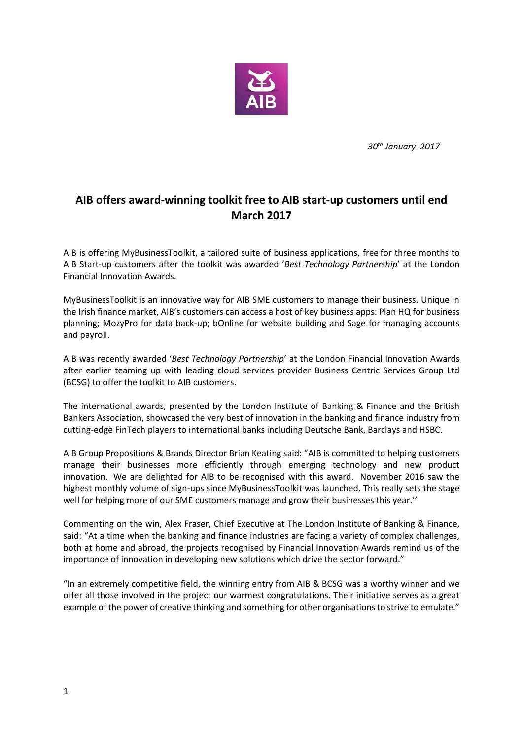

*30th January 2017*

## **AIB offers award-winning toolkit free to AIB start-up customers until end March 2017**

AIB is offering MyBusinessToolkit, a tailored suite of business applications, free for three months to AIB Start-up customers after the toolkit was awarded '*Best Technology Partnership*' at the London Financial Innovation Awards.

MyBusinessToolkit is an innovative way for AIB SME customers to manage their business. Unique in the Irish finance market, AIB's customers can access a host of key business apps: Plan HQ for business planning; MozyPro for data back-up; bOnline for website building and Sage for managing accounts and payroll.

AIB was recently awarded '*Best Technology Partnership*' at the London Financial Innovation Awards after earlier teaming up with leading cloud services provider Business Centric Services Group Ltd (BCSG) to offer the toolkit to AIB customers.

The international awards, presented by the London Institute of Banking & Finance and the British Bankers Association, showcased the very best of innovation in the banking and finance industry from cutting-edge FinTech players to international banks including Deutsche Bank, Barclays and HSBC.

AIB Group Propositions & Brands Director Brian Keating said: "AIB is committed to helping customers manage their businesses more efficiently through emerging technology and new product innovation. We are delighted for AIB to be recognised with this award. November 2016 saw the highest monthly volume of sign-ups since MyBusinessToolkit was launched. This really sets the stage well for helping more of our SME customers manage and grow their businesses this year.''

Commenting on the win, Alex Fraser, Chief Executive at The London Institute of Banking & Finance, said: "At a time when the banking and finance industries are facing a variety of complex challenges, both at home and abroad, the projects recognised by Financial Innovation Awards remind us of the importance of innovation in developing new solutions which drive the sector forward."

"In an extremely competitive field, the winning entry from AIB & BCSG was a worthy winner and we offer all those involved in the project our warmest congratulations. Their initiative serves as a great example of the power of creative thinking and something for other organisations to strive to emulate."